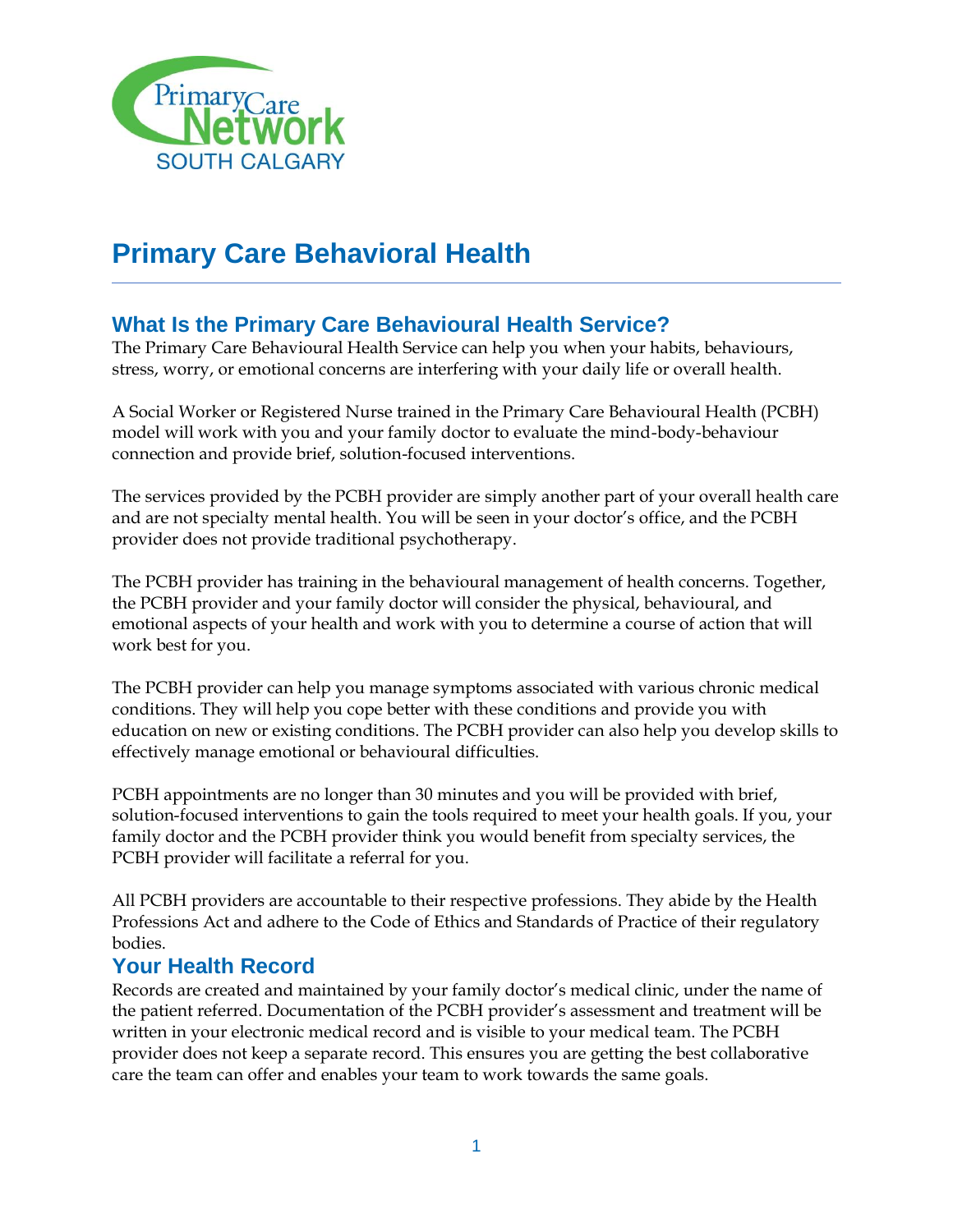

# **Primary Care Behavioral Health**

## **What Is the Primary Care Behavioural Health Service?**

The Primary Care Behavioural Health Service can help you when your habits, behaviours, stress, worry, or emotional concerns are interfering with your daily life or overall health.

A Social Worker or Registered Nurse trained in the Primary Care Behavioural Health (PCBH) model will work with you and your family doctor to evaluate the mind-body-behaviour connection and provide brief, solution-focused interventions.

The services provided by the PCBH provider are simply another part of your overall health care and are not specialty mental health. You will be seen in your doctor's office, and the PCBH provider does not provide traditional psychotherapy.

The PCBH provider has training in the behavioural management of health concerns. Together, the PCBH provider and your family doctor will consider the physical, behavioural, and emotional aspects of your health and work with you to determine a course of action that will work best for you.

The PCBH provider can help you manage symptoms associated with various chronic medical conditions. They will help you cope better with these conditions and provide you with education on new or existing conditions. The PCBH provider can also help you develop skills to effectively manage emotional or behavioural difficulties.

PCBH appointments are no longer than 30 minutes and you will be provided with brief, solution-focused interventions to gain the tools required to meet your health goals. If you, your family doctor and the PCBH provider think you would benefit from specialty services, the PCBH provider will facilitate a referral for you.

All PCBH providers are accountable to their respective professions. They abide by the Health Professions Act and adhere to the Code of Ethics and Standards of Practice of their regulatory bodies.

#### **Your Health Record**

Records are created and maintained by your family doctor's medical clinic, under the name of the patient referred. Documentation of the PCBH provider's assessment and treatment will be written in your electronic medical record and is visible to your medical team. The PCBH provider does not keep a separate record. This ensures you are getting the best collaborative care the team can offer and enables your team to work towards the same goals.